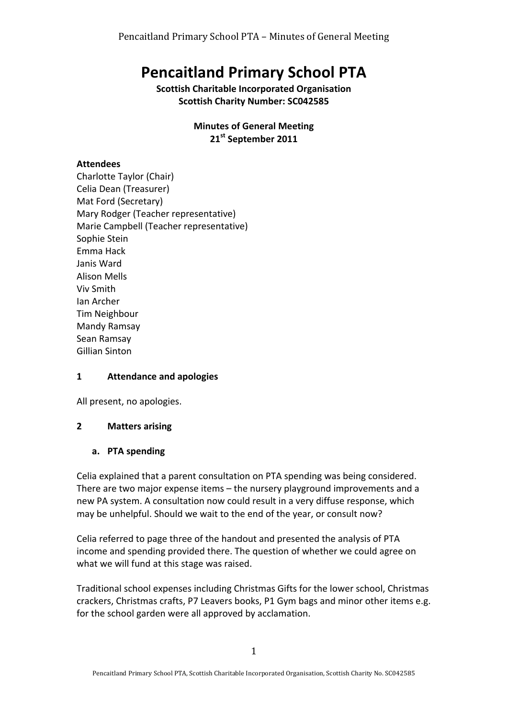# **Pencaitland Primary School PTA**

**Scottish Charitable Incorporated Organisation Scottish Charity Number: SC042585** 

#### **Minutes of General Meeting** 21<sup>st</sup> September 2011

## **Attendees**

Charlotte Taylor (Chair) Celia Dean (Treasurer) Mat Ford (Secretary) Mary Rodger (Teacher representative) Marie Campbell (Teacher representative) Sophie Stein Emma Hack Janis Ward Alison Mells Viv Smith Ian Archer Tim Neighbour Mandy Ramsay Sean Ramsay Gillian Sinton

### **1 Attendance and apologies**

All present, no apologies.

### **2 Matters arising**

### **a. PTA spending**

Celia explained that a parent consultation on PTA spending was being considered. There are two major expense items  $-$  the nursery playground improvements and a new PA system. A consultation now could result in a very diffuse response, which may be unhelpful. Should we wait to the end of the year, or consult now?

Celia referred to page three of the handout and presented the analysis of PTA income and spending provided there. The question of whether we could agree on what we will fund at this stage was raised.

Traditional school expenses including Christmas Gifts for the lower school, Christmas crackers, Christmas crafts, P7 Leavers books, P1 Gym bags and minor other items e.g. for the school garden were all approved by acclamation.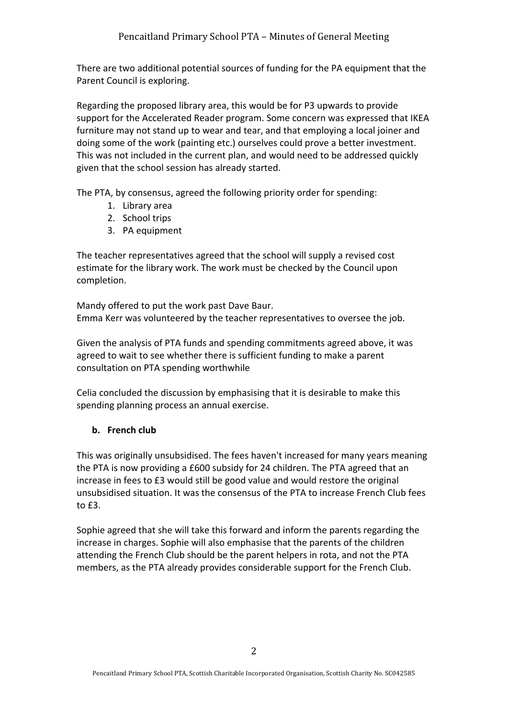There are two additional potential sources of funding for the PA equipment that the Parent Council is exploring.

Regarding the proposed library area, this would be for P3 upwards to provide support for the Accelerated Reader program. Some concern was expressed that IKEA furniture may not stand up to wear and tear, and that employing a local joiner and doing some of the work (painting etc.) ourselves could prove a better investment. This was not included in the current plan, and would need to be addressed quickly given that the school session has already started.

The PTA, by consensus, agreed the following priority order for spending:

- 1. Library area
- 2. School trips
- 3. PA equipment

The teacher representatives agreed that the school will supply a revised cost estimate for the library work. The work must be checked by the Council upon completion.

Mandy offered to put the work past Dave Baur. Emma Kerr was volunteered by the teacher representatives to oversee the job.

Given the analysis of PTA funds and spending commitments agreed above, it was agreed to wait to see whether there is sufficient funding to make a parent consultation on PTA spending worthwhile

Celia concluded the discussion by emphasising that it is desirable to make this spending planning process an annual exercise.

# **b. French club**

This was originally unsubsidised. The fees haven't increased for many years meaning the PTA is now providing a £600 subsidy for 24 children. The PTA agreed that an increase in fees to £3 would still be good value and would restore the original unsubsidised situation. It was the consensus of the PTA to increase French Club fees to  $f3$ .

Sophie agreed that she will take this forward and inform the parents regarding the increase in charges. Sophie will also emphasise that the parents of the children attending the French Club should be the parent helpers in rota, and not the PTA members, as the PTA already provides considerable support for the French Club.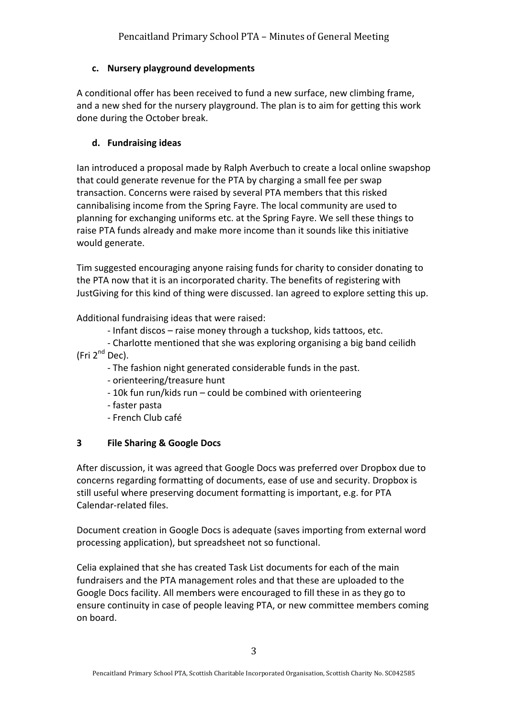# **c. Nursery playground developments**

A conditional offer has been received to fund a new surface, new climbing frame, and a new shed for the nursery playground. The plan is to aim for getting this work done during the October break.

## **d. Fundraising ideas**

Ian introduced a proposal made by Ralph Averbuch to create a local online swapshop that could generate revenue for the PTA by charging a small fee per swap transaction. Concerns were raised by several PTA members that this risked cannibalising income from the Spring Fayre. The local community are used to planning for exchanging uniforms etc. at the Spring Fayre. We sell these things to raise PTA funds already and make more income than it sounds like this initiative would generate.

Tim suggested encouraging anyone raising funds for charity to consider donating to the PTA now that it is an incorporated charity. The benefits of registering with JustGiving for this kind of thing were discussed. Ian agreed to explore setting this up.

Additional fundraising ideas that were raised:

- Infant discos - raise money through a tuckshop, kids tattoos, etc.

- Charlotte mentioned that she was exploring organising a big band ceilidh (Fri  $2^{nd}$  Dec).

- The fashion night generated considerable funds in the past.
- orienteering/treasure hunt
- 10k fun run/kids run could be combined with orienteering
- faster pasta
- French Club café

# **3 File Sharing & Google Docs**

After discussion, it was agreed that Google Docs was preferred over Dropbox due to concerns regarding formatting of documents, ease of use and security. Dropbox is still useful where preserving document formatting is important, e.g. for PTA Calendar-related files.

Document creation in Google Docs is adequate (saves importing from external word processing application), but spreadsheet not so functional.

Celia explained that she has created Task List documents for each of the main fundraisers and the PTA management roles and that these are uploaded to the Google Docs facility. All members were encouraged to fill these in as they go to ensure continuity in case of people leaving PTA, or new committee members coming on board.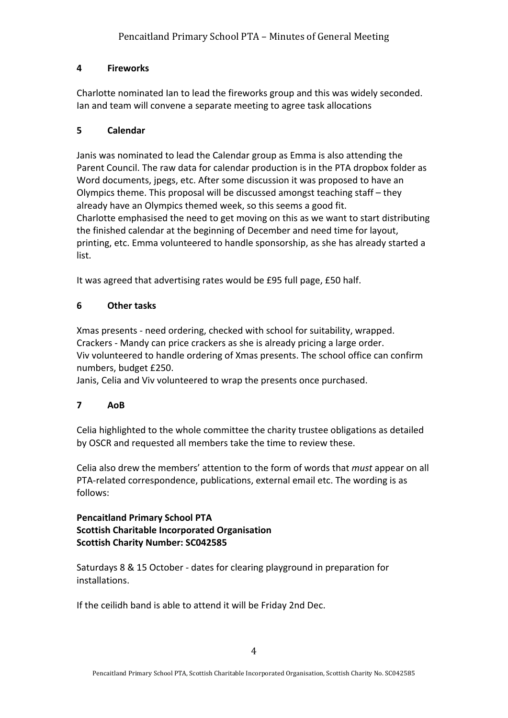# **4 Fireworks**

Charlotte nominated Ian to lead the fireworks group and this was widely seconded. Ian and team will convene a separate meeting to agree task allocations

## **5 Calendar**

Janis was nominated to lead the Calendar group as Emma is also attending the Parent Council. The raw data for calendar production is in the PTA dropbox folder as Word documents, jpegs, etc. After some discussion it was proposed to have an Olympics theme. This proposal will be discussed amongst teaching staff – they already have an Olympics themed week, so this seems a good fit. Charlotte emphasised the need to get moving on this as we want to start distributing the finished calendar at the beginning of December and need time for layout, printing, etc. Emma volunteered to handle sponsorship, as she has already started a list.

It was agreed that advertising rates would be £95 full page, £50 half.

## **6 Other tasks**

Xmas presents - need ordering, checked with school for suitability, wrapped. Crackers - Mandy can price crackers as she is already pricing a large order. Viv volunteered to handle ordering of Xmas presents. The school office can confirm numbers, budget £250.

Janis, Celia and Viv volunteered to wrap the presents once purchased.

# **7 AoB**

Celia highlighted to the whole committee the charity trustee obligations as detailed by OSCR and requested all members take the time to review these.

Celia also drew the members' attention to the form of words that *must* appear on all PTA-related correspondence, publications, external email etc. The wording is as follows:

### **Pencaitland Primary School PTA Scottish Charitable Incorporated Organisation Scottish Charity Number: SC042585**

Saturdays 8 & 15 October - dates for clearing playground in preparation for installations.

If the ceilidh band is able to attend it will be Friday 2nd Dec.